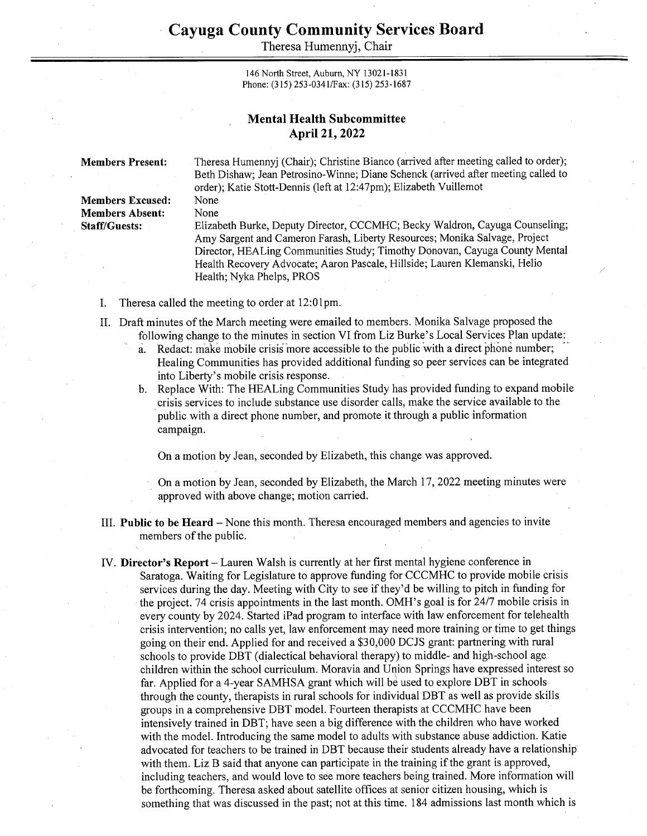Theresa Humennyj, Chair

146 North Street, Auburn, NY 13021-1831 Phone: (315) 253-034 1/Fax: (315) 253-1687

## Mental Health Subcommittee April 21, 2022

Members Present: Theresa Humennyj (Chair); Christine Bianco (arrived after meeting called to order); Beth Dishaw; Jean Petrosino-Winne; Diane Schenck (arrived after meeting called to order); Katie Stott-Dennis (left at 12:47pm); Elizabeth Vuillemot Members Excused: None

Members Absent: None

Staff/Guests: Elizabeth Burke, Deputy Director, CCCMHC; Becky Waldron, Cayuga Counseling; Amy Sargent and Cameron Farash, Liberty Resources; Monika Salvage, Project Director, HEALing Communities Study; Timothy Donovan, Cayuga County Mental Health Recovery Advocate; Aaron Pascale, Hillside; Lauren Klemanski, Helio Health; Nyka Phelps, PROS

- I. Theresa called the meeting to order at 12:01pm.
- Il. Draft minutes of the March meeting were emailed to members. Monika Salvage proposed the following change to the minutes in section VI from Liz Burke's Local Services Plan update:
	- a. Redact: make mobile crisis more accessible to the public with a direct phone number; Healing Communities has provided additional funding so peer services can be integrated into Liberty's mobile crisis response.
	- b. Replace With: The HEALing Communities Study has provided funding to expand mobile crisis services to include substance use disorder calls, make the service available to the public with a direct phone number, and promote it through a public information campaign.

On a motion by Jean, seconded by Elizabeth, this change was approved.

On a motion by Jean, seconded by Elizabeth, the March 17, 2022 meeting minutes were approved with above change; motion carried.

- III. Public to be Heard None this month. Theresa encouraged members and agencies to invite members of the public.
- IV. Director's Report Lauren Walsh is currently at her first mental hygiene conference in Saratoga. Waiting for Legislature to approve funding for CCCMHC to provide mobile crisis services during the day. Meeting with City to see if they'd be willing to pitch in funding for the project. 74 crisis appointments in the last month. OMH's goal is for 24/7 mobile crisis in every county by 2024. Started iPad program to interface with law enforcement for telehealth crisis intervention; no calls yet, law enforcement may need more training or time to get things going on their end. Applied for and received a \$30,000 DCJS grant: partnering with rural schools to provide DBT (dialectical behavioral therapy) to middle- and high-school age children within the school curriculum. Moravia and Union Springs have expressed interest so far. Applied for a 4-year SAMHSA grant which will be used to explore DBT in schools through the county, therapists in rural schools for individual DBT as well as provide skills groups in a comprehensive DBT model. Fourteen therapists at CCCMHC have been intensively trained in DBT; have seen a big difference with the children who have worked with the model. Introducing the same model to adults with substance abuse addiction. Katie advocated for teachers to be trained in DBT because their students already have a relationship with them. Liz B said that anyone can participate in the training if the grant is approved, including teachers, and would love to see more teachers being trained. More information will be forthcoming. Theresa asked about satellite offices at senior citizen housing, which is something that was discussed in the past; not at this time. 184 admissions last month which is